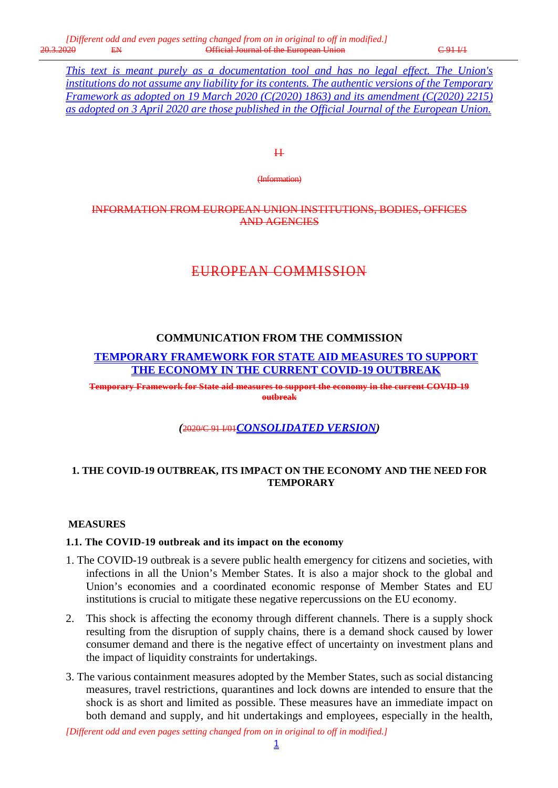*This text is meant purely as a documentation tool and has no legal effect. The Union's institutions do not assume any liability for its contents. The authentic versions of the Temporary Framework as adopted on 19 March 2020 (C(2020) 1863) and its amendment (C(2020) 2215) as adopted on 3 April 2020 are those published in the Official Journal of the European Union.*

 $H$ 

(Information)

# INFORMATION FROM EUROPEAN UNION INSTITUTIONS, BODIES, OFFICES AND AGENCIES

# EUROPEAN COMMISSION

# **COMMUNICATION FROM THE COMMISSION**

**TEMPORARY FRAMEWORK FOR STATE AID MEASURES TO SUPPORT THE ECONOMY IN THE CURRENT COVID-19 OUTBREAK**

**Temporary Framework for State aid measures to support the economy in the current COVID-19 outbreak**

*(*2020/C 91 I/01*CONSOLIDATED VERSION)*

# **1. THE COVID-19 OUTBREAK, ITS IMPACT ON THE ECONOMY AND THE NEED FOR TEMPORARY**

#### **MEASURES**

#### **1.1. The COVID-19 outbreak and its impact on the economy**

- 1. The COVID-19 outbreak is a severe public health emergency for citizens and societies, with infections in all the Union's Member States. It is also a major shock to the global and Union's economies and a coordinated economic response of Member States and EU institutions is crucial to mitigate these negative repercussions on the EU economy.
- 2. This shock is affecting the economy through different channels. There is a supply shock resulting from the disruption of supply chains, there is a demand shock caused by lower consumer demand and there is the negative effect of uncertainty on investment plans and the impact of liquidity constraints for undertakings.
- 3. The various containment measures adopted by the Member States, such as social distancing measures, travel restrictions, quarantines and lock downs are intended to ensure that the shock is as short and limited as possible. These measures have an immediate impact on both demand and supply, and hit undertakings and employees, especially in the health,

*[Different odd and even pages setting changed from on in original to off in modified.]*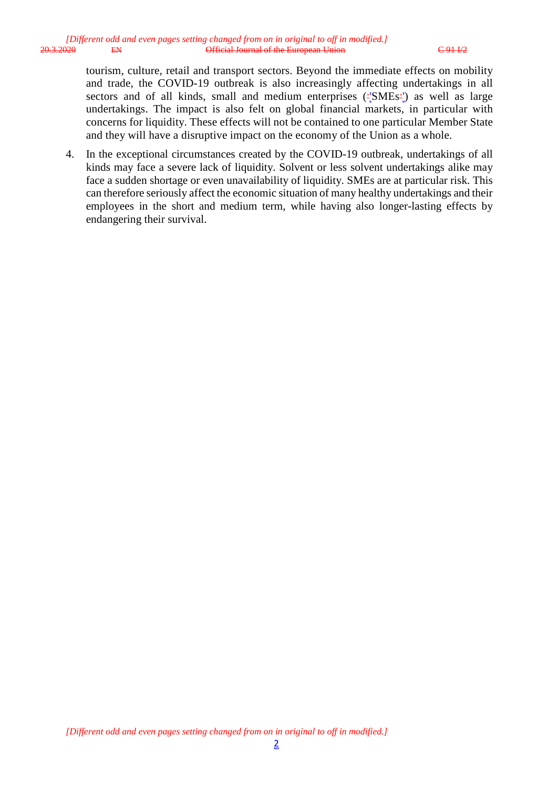tourism, culture, retail and transport sectors. Beyond the immediate effects on mobility and trade, the COVID-19 outbreak is also increasingly affecting undertakings in all sectors and of all kinds, small and medium enterprises ('SMEs') as well as large undertakings. The impact is also felt on global financial markets, in particular with concerns for liquidity. These effects will not be contained to one particular Member State and they will have a disruptive impact on the economy of the Union as a whole.

4. In the exceptional circumstances created by the COVID-19 outbreak, undertakings of all kinds may face a severe lack of liquidity. Solvent or less solvent undertakings alike may face a sudden shortage or even unavailability of liquidity. SMEs are at particular risk. This can therefore seriously affect the economic situation of many healthy undertakings and their employees in the short and medium term, while having also longer-lasting effects by endangering their survival.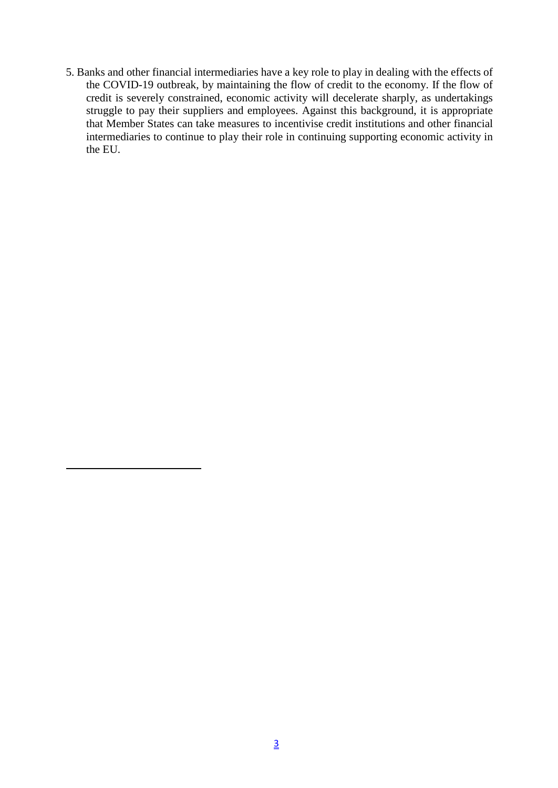5. Banks and other financial intermediaries have a key role to play in dealing with the effects of the COVID-19 outbreak, by maintaining the flow of credit to the economy. If the flow of credit is severely constrained, economic activity will decelerate sharply, as undertakings struggle to pay their suppliers and employees. Against this background, it is appropriate that Member States can take measures to incentivise credit institutions and other financial intermediaries to continue to play their role in continuing supporting economic activity in the EU.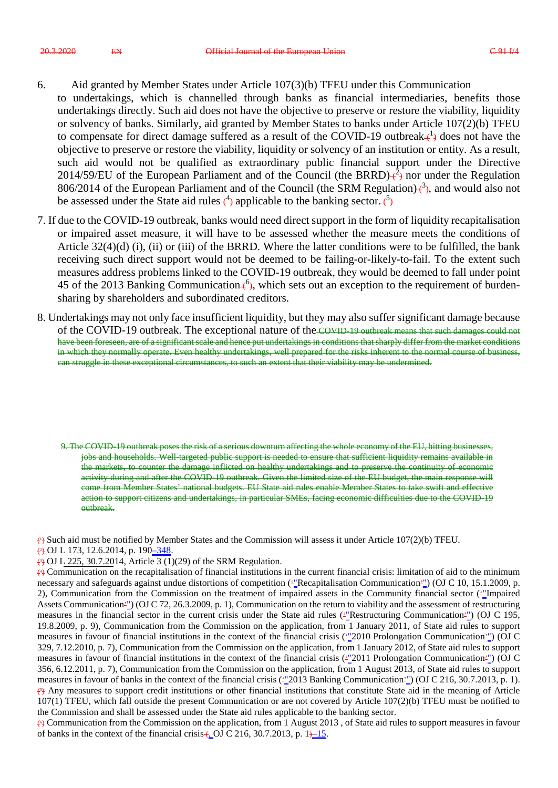- 6. Aid granted by Member States under Article 107(3)(b) TFEU under this Communication to undertakings, which is channelled through banks as financial intermediaries, benefits those undertakings directly. Such aid does not have the objective to preserve or restore the viability, liquidity or solvency of banks. Similarly, aid granted by Member States to banks under Article 107(2)(b) TFEU to compensate for direct damage suffered as a result of the COVID-19 outbreak $\leftarrow{1}$  does not have the objective to preserve or restore the viability, liquidity or solvency of an institution or entity. As a result, such aid would not be qualified as extraordinary public financial support under the Directive 2014/59/EU of the European Parliament and of the Council (the BRRD) $\mathcal{L}^2$  nor under the Regulation 806/2014 of the European Parliament and of the Council (the SRM Regulation) $\frac{3}{2}$ , and would also not be assessed under the State aid rules  $\binom{4}{7}$  applicable to the banking sector.  $\binom{5}{7}$
- 7. If due to the COVID-19 outbreak, banks would need direct support in the form of liquidity recapitalisation or impaired asset measure, it will have to be assessed whether the measure meets the conditions of Article  $32(4)(d)$  (i), (ii) or (iii) of the BRRD. Where the latter conditions were to be fulfilled, the bank receiving such direct support would not be deemed to be failing-or-likely-to-fail. To the extent such measures address problems linked to the COVID-19 outbreak, they would be deemed to fall under point 45 of the 2013 Banking Communication  $\left\{\epsilon\right\}$ , which sets out an exception to the requirement of burdensharing by shareholders and subordinated creditors.
- 8. Undertakings may not only face insufficient liquidity, but they may also suffer significant damage because of the COVID-19 outbreak. The exceptional nature of the COVID-19 outbreak means that such damages could not have been foreseen, are of a significant scale and hence put undertakings in conditions that sharply differ from the market conditions in which they normally operate. Even healthy undertakings, well prepared for the risks inherent to the normal course of business, can struggle in these exceptional circumstances, to such an extent that their viability may be undermined.

9. The COVID-19 outbreak poses the risk of a serious downturn affecting the whole economy of the EU, hitting businesses, jobs and households. Well-targeted public support is needed to ensure that sufficient liquidity remains available in the markets, to counter the damage inflicted on healthy undertakings and to preserve the continuity of economic activity during and after the COVID-19 outbreak. Given the limited size of the EU budget, the main response will come from Member States' national budgets. EU State aid rules enable Member States to take swift and effective action to support citizens and undertakings, in particular SMEs, facing economic difficulties due to the COVID-19 outbreak.

(1 ) Such aid must be notified by Member States and the Commission will assess it under Article 107(2)(b) TFEU.

- (2) OJ L 173, 12.6.2014, p. 190<u>–348</u>.
- $\leftrightarrow$  OJ L 225, 30.7.2014, Article 3 (1)(29) of the SRM Regulation.

(4 ) Communication on the recapitalisation of financial institutions in the current financial crisis: limitation of aid to the minimum necessary and safeguards against undue distortions of competition ("Recapitalisation Communication") (OJ C 10, 15.1.2009, p. 2), Communication from the Commission on the treatment of impaired assets in the Community financial sector  $($ Assets Communication'") (OJ C 72, 26.3.2009, p. 1), Communication on the return to viability and the assessment of restructuring measures in the financial sector in the current crisis under the State aid rules ("Restructuring Communication"") (OJ C 195, 19.8.2009, p. 9), Communication from the Commission on the application, from 1 January 2011, of State aid rules to support measures in favour of financial institutions in the context of the financial crisis ("2010 Prolongation Communication"") (OJ C 329, 7.12.2010, p. 7), Communication from the Commission on the application, from 1 January 2012, of State aid rules to support measures in favour of financial institutions in the context of the financial crisis  $(\frac{1000 \text{ m}}{2011 \text{ Prolongation Communication}^2)$  (OJ C 356, 6.12.2011, p. 7), Communication from the Commission on the application, from 1 August 2013, of State aid rules to support measures in favour of banks in the context of the financial crisis ('"2013 Banking Communication'") (OJ C 216, 30.7.2013, p. 1). (5 ) Any measures to support credit institutions or other financial institutions that constitute State aid in the meaning of Article 107(1) TFEU, which fall outside the present Communication or are not covered by Article 107(2)(b) TFEU must be notified to the Commission and shall be assessed under the State aid rules applicable to the banking sector.

(6 ) Communication from the Commission on the application, from 1 August 2013 , of State aid rules to support measures in favour of banks in the context of the financial crisis  $\leftarrow$  OJ C 216, 30.7.2013, p. 1 $\leftarrow$  15.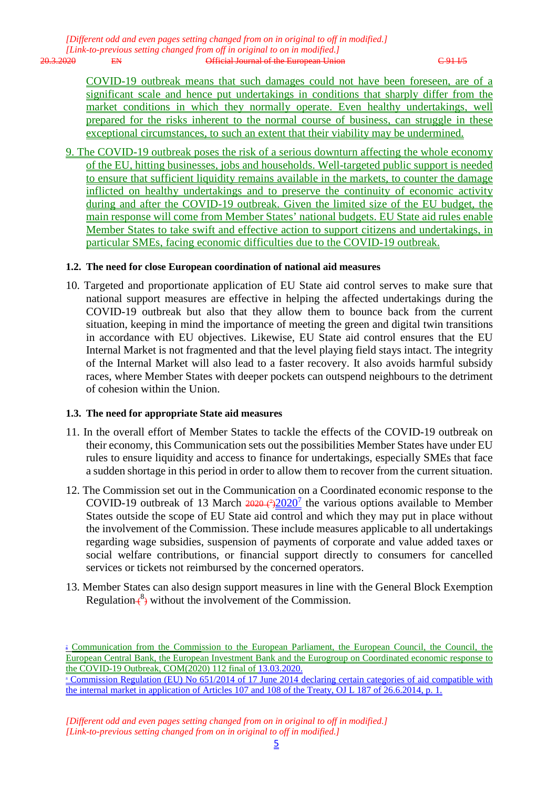*[Different odd and even pages setting changed from on in original to off in modified.] [Link-to-previous setting changed from off in original to on in modified.]* 20.3.2020 EN Official Journal of the European Union C 91 I/5

COVID-19 outbreak means that such damages could not have been foreseen, are of a significant scale and hence put undertakings in conditions that sharply differ from the market conditions in which they normally operate. Even healthy undertakings, well prepared for the risks inherent to the normal course of business, can struggle in these exceptional circumstances, to such an extent that their viability may be undermined.

9. The COVID-19 outbreak poses the risk of a serious downturn affecting the whole economy of the EU, hitting businesses, jobs and households. Well-targeted public support is needed to ensure that sufficient liquidity remains available in the markets, to counter the damage inflicted on healthy undertakings and to preserve the continuity of economic activity during and after the COVID-19 outbreak. Given the limited size of the EU budget, the main response will come from Member States' national budgets. EU State aid rules enable Member States to take swift and effective action to support citizens and undertakings, in particular SMEs, facing economic difficulties due to the COVID-19 outbreak.

#### **1.2. The need for close European coordination of national aid measures**

10. Targeted and proportionate application of EU State aid control serves to make sure that national support measures are effective in helping the affected undertakings during the COVID-19 outbreak but also that they allow them to bounce back from the current situation, keeping in mind the importance of meeting the green and digital twin transitions in accordance with EU objectives. Likewise, EU State aid control ensures that the EU Internal Market is not fragmented and that the level playing field stays intact. The integrity of the Internal Market will also lead to a faster recovery. It also avoids harmful subsidy races, where Member States with deeper pockets can outspend neighbours to the detriment of cohesion within the Union.

#### **1.3. The need for appropriate State aid measures**

- 11. In the overall effort of Member States to tackle the effects of the COVID-19 outbreak on their economy, this Communication sets out the possibilities Member States have under EU rules to ensure liquidity and access to finance for undertakings, especially SMEs that face a sudden shortage in this period in order to allow them to recover from the current situation.
- 12. The Commission set out in the Communication on a Coordinated economic response to the COVID-19 outbreak of 13 March  $2020 \frac{7}{2020}$  the various options available to Member States outside the scope of EU State aid control and which they may put in place without the involvement of the Commission. These include measures applicable to all undertakings regarding wage subsidies, suspension of payments of corporate and value added taxes or social welfare contributions, or financial support directly to consumers for cancelled services or tickets not reimbursed by the concerned operators.
- 13. Member States can also design support measures in line with the General Block Exemption Regulation $\leftarrow$ <sup>8</sup>) without the involvement of the Commission.

the internal market in application of Articles 107 and 108 of the Treaty, OJ L 187 of 26.6.2014, p. 1.

<sup>&</sup>lt;sup>1</sup> Communication from the Commission to the European Parliament, the European Council, the Council, the European Central Bank, the European Investment Bank and the Eurogroup on Coordinated economic response to the COVID-19 Outbreak, COM(2020) 112 final of 13.03.2020. <sup>8</sup> Commission Regulation (EU) No 651/2014 of 17 June 2014 declaring certain categories of aid compatible with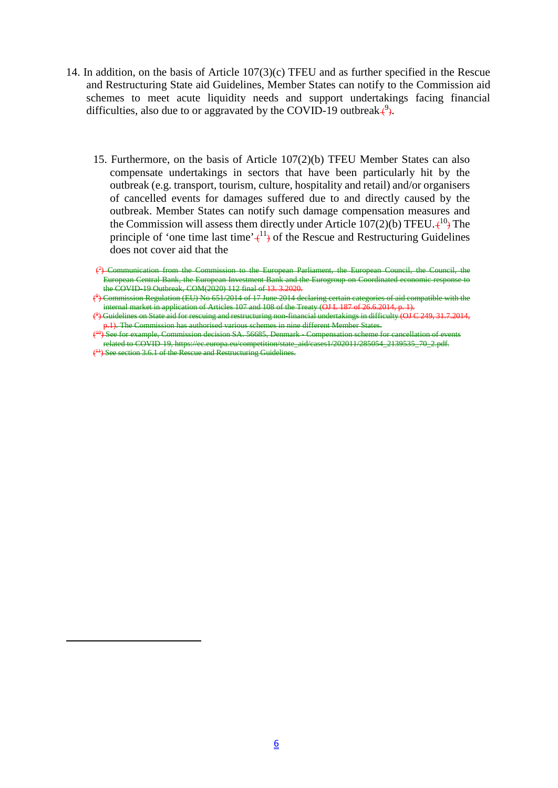- 14. In addition, on the basis of Article 107(3)(c) TFEU and as further specified in the Rescue and Restructuring State aid Guidelines, Member States can notify to the Commission aid schemes to meet acute liquidity needs and support undertakings facing financial difficulties, also due to or aggravated by the COVID-19 outbreak $\left\{\frac{9}{1}\right\}$ .
	- 15. Furthermore, on the basis of Article 107(2)(b) TFEU Member States can also compensate undertakings in sectors that have been particularly hit by the outbreak (e.g. transport, tourism, culture, hospitality and retail) and/or organisers of cancelled events for damages suffered due to and directly caused by the outbreak. Member States can notify such damage compensation measures and the Commission will assess them directly under Article  $107(2)(b)$  TFEU. $\leftarrow$ <sup>10</sup>) The principle of 'one time last time' $\leftarrow$ <sup>11</sup>) of the Rescue and Restructuring Guidelines does not cover aid that the

<sup>(</sup> 7 ) Communication from the Commission to the European Parliament, the European Council, the Council, the European Central Bank, the European Investment Bank and the Eurogroup on Coordinated economic response to the COVID-19 Outbreak, COM(2020) 112 final of 13. 3.2020.

<sup>(</sup> 8 ) Commission Regulation (EU) No 651/2014 of 17 June 2014 declaring certain categories of aid compatible with the internal market in application of Articles 107 and 108 of the Treaty (OJ L 187 of 26.6.2014, p. 1).

<sup>(</sup> 9 ) Guidelines on State aid for rescuing and restructuring non-financial undertakings in difficulty (OJ C 249, 31.7.2014, p.1). The Commission has authorised various schemes in nine different Member States.

 $\epsilon$ 1.<br><del>1 See for example, Commission decision SA. 56685, Denmark - Compensation scheme for cancellation of events</del> related to COVID-19, https://ec.europa.eu/competition/state\_aid/cases1/202011/285054\_2139535\_70\_2.pdf.

<sup>&</sup>lt;sup>(<sup>11</sup>) See section 3.6.1 of the Rescue and Restructuring Guidelines.</sup>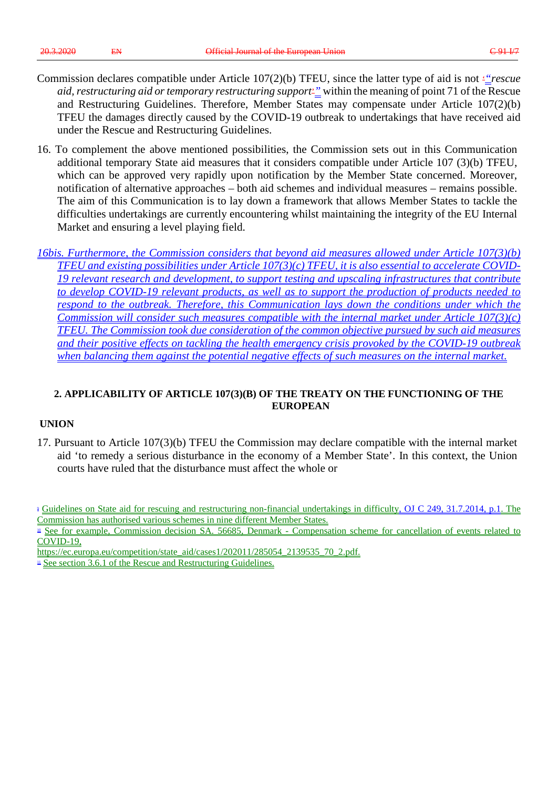- Commission declares compatible under Article 107(2)(b) TFEU, since the latter type of aid is not '*"rescue aid, restructuring aid or temporary restructuring support*'*"* within the meaning of point 71 of the Rescue and Restructuring Guidelines. Therefore, Member States may compensate under Article 107(2)(b) TFEU the damages directly caused by the COVID-19 outbreak to undertakings that have received aid under the Rescue and Restructuring Guidelines.
- 16. To complement the above mentioned possibilities, the Commission sets out in this Communication additional temporary State aid measures that it considers compatible under Article 107 (3)(b) TFEU, which can be approved very rapidly upon notification by the Member State concerned. Moreover, notification of alternative approaches – both aid schemes and individual measures – remains possible. The aim of this Communication is to lay down a framework that allows Member States to tackle the difficulties undertakings are currently encountering whilst maintaining the integrity of the EU Internal Market and ensuring a level playing field.

*16bis. Furthermore, the Commission considers that beyond aid measures allowed under Article 107(3)(b) TFEU and existing possibilities under Article 107(3)(c) TFEU, it is also essential to accelerate COVID-19 relevant research and development, to support testing and upscaling infrastructures that contribute to develop COVID-19 relevant products, as well as to support the production of products needed to respond to the outbreak. Therefore, this Communication lays down the conditions under which the Commission will consider such measures compatible with the internal market under Article 107(3)(c) TFEU. The Commission took due consideration of the common objective pursued by such aid measures and their positive effects on tackling the health emergency crisis provoked by the COVID-19 outbreak when balancing them against the potential negative effects of such measures on the internal market.*

### **2. APPLICABILITY OF ARTICLE 107(3)(B) OF THE TREATY ON THE FUNCTIONING OF THE EUROPEAN**

#### **UNION**

17. Pursuant to Article 107(3)(b) TFEU the Commission may declare compatible with the internal market aid 'to remedy a serious disturbance in the economy of a Member State'. In this context, the Union courts have ruled that the disturbance must affect the whole or

<sup>&</sup>lt;sup>2</sup> Guidelines on State aid for rescuing and restructuring non-financial undertakings in difficulty, OJ C 249, 31.7.2014, p.1. The Commission has authorised various schemes in nine different Member States.

<sup>&</sup>lt;sup>10</sup> See for example, Commission decision SA. 56685, Denmark - Compensation scheme for cancellation of events related to COVID-19,

https://ec.europa.eu/competition/state\_aid/cases1/202011/285054\_2139535\_70\_2.pdf.

 $\triangle$  See section 3.6.1 of the Rescue and Restructuring Guidelines.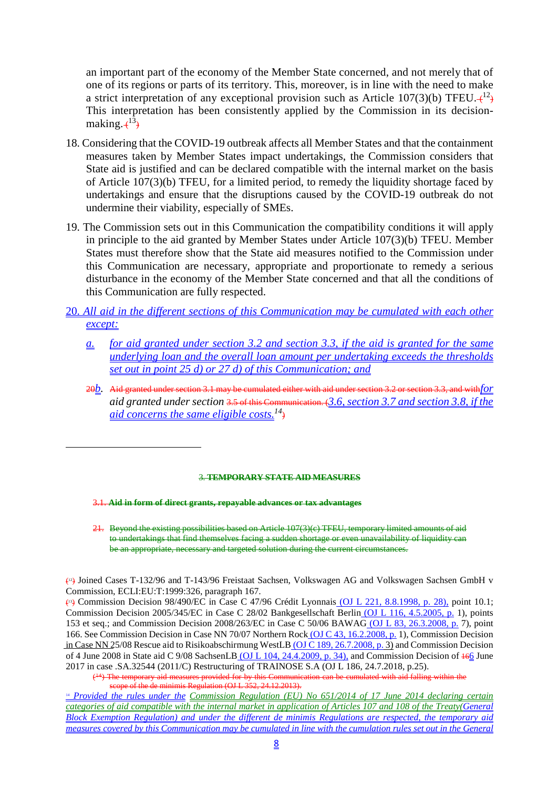an important part of the economy of the Member State concerned, and not merely that of one of its regions or parts of its territory. This, moreover, is in line with the need to make a strict interpretation of any exceptional provision such as Article 107(3)(b) TFEU. $\leftarrow$ <sup>12</sup>) This interpretation has been consistently applied by the Commission in its decisionmaking. $\div^{13}$ 

- 18. Considering that the COVID-19 outbreak affects all Member States and that the containment measures taken by Member States impact undertakings, the Commission considers that State aid is justified and can be declared compatible with the internal market on the basis of Article 107(3)(b) TFEU, for a limited period, to remedy the liquidity shortage faced by undertakings and ensure that the disruptions caused by the COVID-19 outbreak do not undermine their viability, especially of SMEs.
- 19. The Commission sets out in this Communication the compatibility conditions it will apply in principle to the aid granted by Member States under Article 107(3)(b) TFEU. Member States must therefore show that the State aid measures notified to the Commission under this Communication are necessary, appropriate and proportionate to remedy a serious disturbance in the economy of the Member State concerned and that all the conditions of this Communication are fully respected.
- 20. *All aid in the different sections of this Communication may be cumulated with each other except:*
	- *a. for aid granted under section 3.2 and section 3.3, if the aid is granted for the same underlying loan and the overall loan amount per undertaking exceeds the thresholds set out in point 25 d) or 27 d) of this Communication; and*
	- 20*b.* Aid granted under section 3.1 may be cumulated either with aid under section 3.2 or section 3.3, and with*for aid granted under section* 3.5 of this Communication. (*3.6, section 3.7 and section 3.8, if the aid concerns the same eligible costs.14*)

#### 3. **TEMPORARY STATE AID MEASURES**

3.1. **Aid in form of direct grants, repayable advances or tax advantages**

21. Beyond the existing possibilities based on Article 107(3)(c) TFEU, temporary limited amounts of aid to undertakings that find themselves facing a sudden shortage or even unavailability of liquidity can be an appropriate, necessary and targeted solution during the current circumstances.

(12) Joined Cases T-132/96 and T-143/96 Freistaat Sachsen, Volkswagen AG and Volkswagen Sachsen GmbH v Commission, ECLI:EU:T:1999:326, paragraph 167.

(13) Commission Decision 98/490/EC in Case C 47/96 Crédit Lyonnais (OJ L 221, 8.8.1998, p. 28), point 10.1; Commission Decision 2005/345/EC in Case C 28/02 Bankgesellschaft Berlin (OJ L 116, 4.5.2005, p. 1), points 153 et seq.; and Commission Decision 2008/263/EC in Case C 50/06 BAWAG (OJ L 83, 26.3.2008, p. 7), point 166. See Commission Decision in Case NN 70/07 Northern Rock (OJ C 43, 16.2.2008, p. 1), Commission Decision in Case NN 25/08 Rescue aid to Risikoabschirmung WestLB (OJ C 189, 26.7.2008, p. 3) and Commission Decision of 4 June 2008 in State aid C 9/08 SachsenLB (OJ L 104, 24.4.2009, p. 34), and Commission Decision of 166 June 2017 in case .SA.32544 (2011/C) Restructuring of TRAINOSE S.A (OJ L 186, 24.7.2018, p.25).

(14) The temporary aid measures provided for by this Communication can be cumulated with aid falling within the de minimis Regulation (OJ L  $352$ , 24.12.2013).

<sup>14</sup> *Provided the rules under the Commission Regulation (EU) No 651/2014 of 17 June 2014 declaring certain categories of aid compatible with the internal market in application of Articles 107 and 108 of the Treaty(General Block Exemption Regulation) and under the different de minimis Regulations are respected, the temporary aid measures covered by this Communication may be cumulated in line with the cumulation rules set out in the General*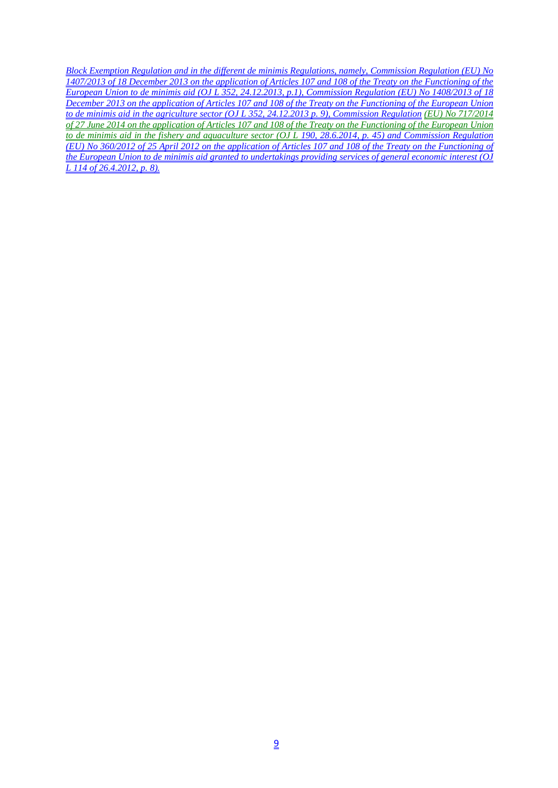*Block Exemption Regulation and in the different de minimis Regulations, namely, Commission Regulation (EU) No 1407/2013 of 18 December 2013 on the application of Articles 107 and 108 of the Treaty on the Functioning of the European Union to de minimis aid (OJ L 352, 24.12.2013, p.1), Commission Regulation (EU) No 1408/2013 of 18 December 2013 on the application of Articles 107 and 108 of the Treaty on the Functioning of the European Union to de minimis aid in the agriculture sector (OJ L 352, 24.12.2013 p. 9), Commission Regulation (EU) No 717/2014 of 27 June 2014 on the application of Articles 107 and 108 of the Treaty on the Functioning of the European Union to de minimis aid in the fishery and aquaculture sector (OJ L 190, 28.6.2014, p. 45) and Commission Regulation (EU) No 360/2012 of 25 April 2012 on the application of Articles 107 and 108 of the Treaty on the Functioning of the European Union to de minimis aid granted to undertakings providing services of general economic interest (OJ L 114 of 26.4.2012, p. 8).*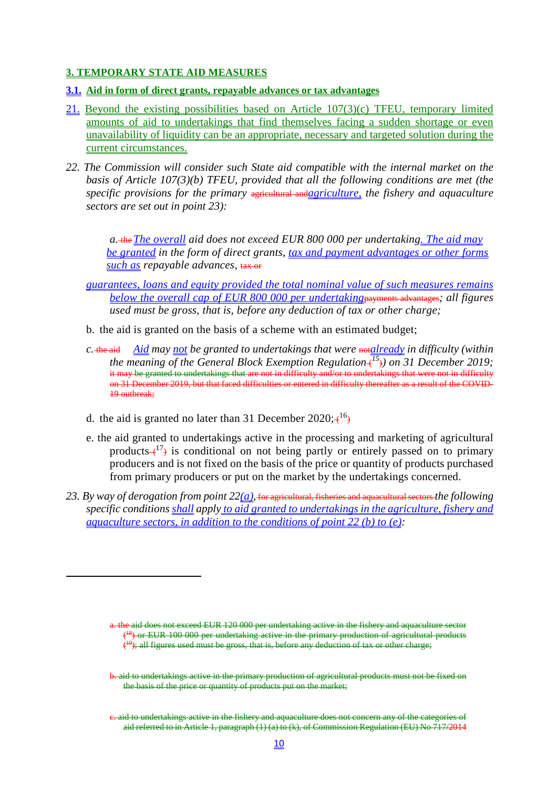#### **3. TEMPORARY STATE AID MEASURES**

- **3.1. Aid in form of direct grants, repayable advances or tax advantages**
- 21. Beyond the existing possibilities based on Article 107(3)(c) TFEU, temporary limited amounts of aid to undertakings that find themselves facing a sudden shortage or even unavailability of liquidity can be an appropriate, necessary and targeted solution during the current circumstances.
- *22. The Commission will consider such State aid compatible with the internal market on the basis of Article 107(3)(b) TFEU, provided that all the following conditions are met (the specific provisions for the primary* agricultural and*agriculture, the fishery and aquaculture sectors are set out in point 23):*

*a.* the*The overall aid does not exceed EUR 800 000 per undertaking. The aid may be granted in the form of direct grants, tax and payment advantages or other forms such as repayable advances,* tax or

- *guarantees, loans and equity provided the total nominal value of such measures remains below the overall cap of EUR 800 000 per undertaking*payments advantages*; all figures used must be gross, that is, before any deduction of tax or other charge;*
- b. the aid is granted on the basis of a scheme with an estimated budget;
- *c.* the aid Aid may not be granted to undertakings that were notalready in difficulty (within *the meaning of the General Block Exemption Regulation* ( *<sup>15</sup>*)*) on 31 December 2019;* it may be granted to undertakings that are not in difficulty and/or to undertakings that were not in difficulty on 31 December 2019, but that faced difficulties or entered in difficulty thereafter as a result of the COVID-19 outbreak;
- d. the aid is granted no later than 31 December  $2020; \xi^{16}$
- e. the aid granted to undertakings active in the processing and marketing of agricultural products  $(17)$  is conditional on not being partly or entirely passed on to primary producers and is not fixed on the basis of the price or quantity of products purchased from primary producers or put on the market by the undertakings concerned.
- *23. By way of derogation from point 22(a),* for agricultural, fisheries and aquacultural sectors *the following specific conditions shall apply to aid granted to undertakings in the agriculture, fishery and aquaculture sectors, in addition to the conditions of point 22 (b) to (e):*

a. the aid does not exceed EUR 120 000 per undertaking active in the fishery and aquaculture sector (<sup>18</sup>) or EUR 100 000 per undertaking active in the primary production of agricultural products (<sup>19</sup>); all figures used must be gross, that is, before any deduction of tax or other charge;

b. aid to undertakings active in the primary production of agricultural products must not be fixed on the basis of the price or quantity of products put on the market;

c. aid to undertakings active in the fishery and aquaculture does not concern any of the categories of aid referred to in Article 1, paragraph (1) (a) to (k), of Commission Regulation (EU) No 717/2014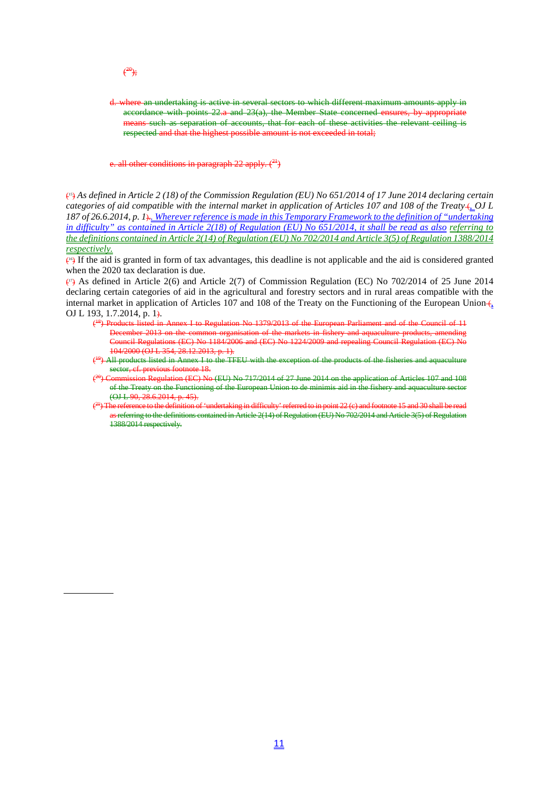d. where an undertaking is active in several sectors to which different maximum amounts apply in accordance with points 22.a and 23(a), the Member State concerned ensures, by appropriate means such as separation of accounts, that for each of these activities the relevant ceiling is respected and that the highest possible amount is not exceeded in total;

all other conditions in paragraph 22 apply.  $({}^{24})$ 

(15) *As defined in Article 2 (18) of the Commission Regulation (EU) No 651/2014 of 17 June 2014 declaring certain categories of aid compatible with the internal market in application of Articles 107 and 108 of the Treaty* (*, OJ L 187 of 26.6.2014, p. 1*).*. Wherever reference is made in this Temporary Framework to the definition of "undertaking in difficulty" as contained in Article 2(18) of Regulation (EU) No 651/2014, it shall be read as also referring to the definitions contained in Article 2(14) of Regulation (EU) No 702/2014 and Article 3(5) of Regulation 1388/2014 respectively.*

 $\left\langle \varphi \right\rangle$  If the aid is granted in form of tax advantages, this deadline is not applicable and the aid is considered granted when the 2020 tax declaration is due.

 $(\cdot)$  As defined in Article 2(6) and Article 2(7) of Commission Regulation (EC) No 702/2014 of 25 June 2014 declaring certain categories of aid in the agricultural and forestry sectors and in rural areas compatible with the internal market in application of Articles 107 and 108 of the Treaty on the Functioning of the European Union  $\epsilon$ OJ L 193, 1.7.2014, p. 1).

- ( 18) Products listed in Annex I to Regulation No 1379/2013 of the European Parliament and of the Council of 11 December 2013 on the common organisation of the markets in fishery and aquaculture products, amending Council Regulations (EC) No 1184/2006 and (EC) No 1224/2009 and repealing Council Regulation (EC) No 104/2000 (OJ L 354, 28.12.2013, p. 1).
- $\epsilon$ <sup>9</sup>) All products listed in Annex I to the TFEU with the exception of the products of the fisheries and aquaculture sector, cf. previous footnote 18.
- $\epsilon$ amission Regulation (EC) No (EU) No 717/2014 of 27 June 2014 on the application of Articles 107 and 108 of the Treaty on the Functioning of the European Union to de minimis aid in the fishery and aquaculture sector (OJ L 90, 28.6.2014, p. 45).
- $\epsilon$ undertaking in difficulty' referred to in point 22  $(c)$  and footnote 15 and 30 shall be read as referring to the definitions contained in Article 2(14) of Regulation (EU) No 702/2014 and Article 3(5) of Regulation 1388/2014 respectively.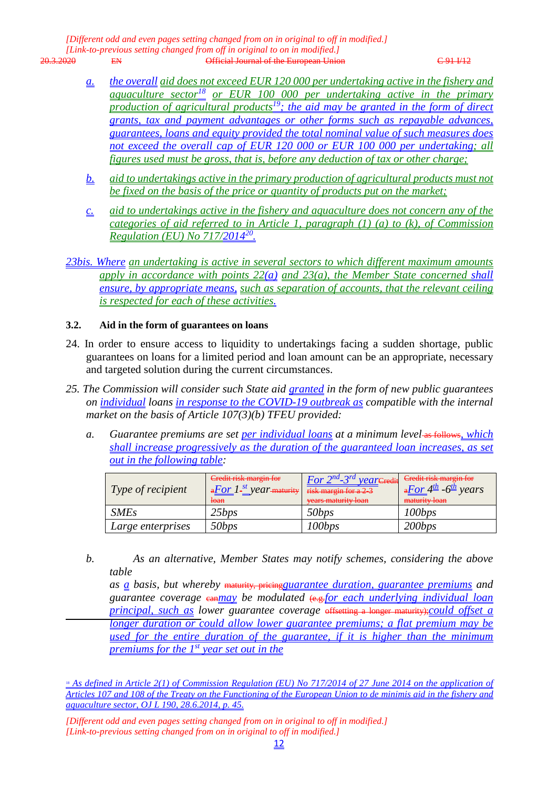*[Different odd and even pages setting changed from on in original to off in modified.] [Link-to-previous setting changed from off in original to on in modified.]* **EN** CHECAL SOFFICIAL SOFTICLE IN THE EUROPEAN UNION CONTRACT CONTRACT CONTRACT CONTRACT CONTRACT CONTRACT CONTRACT CONTRACT CONTRACT CONTRACT CONTRACT CONTRACT CONTRACT CONTRACT CONTRACT CONTRACT CONTRACT CONTRACT CONTRAC

- *a. the overall aid does not exceed EUR 120 000 per undertaking active in the fishery and aquaculture sector<sup>18</sup> or EUR 100 000 per undertaking active in the primary production of agricultural products19; the aid may be granted in the form of direct grants, tax and payment advantages or other forms such as repayable advances, guarantees, loans and equity provided the total nominal value of such measures does not exceed the overall cap of EUR 120 000 or EUR 100 000 per undertaking; all figures used must be gross, that is, before any deduction of tax or other charge;*
- *b. aid to undertakings active in the primary production of agricultural products must not be fixed on the basis of the price or quantity of products put on the market;*
- *c. aid to undertakings active in the fishery and aquaculture does not concern any of the categories of aid referred to in Article 1, paragraph (1) (a) to (k), of Commission Regulation (EU) No 717/201420.*
- *23bis. Where an undertaking is active in several sectors to which different maximum amounts apply in accordance with points 22(a) and 23(a), the Member State concerned shall ensure, by appropriate means, such as separation of accounts, that the relevant ceiling is respected for each of these activities.*

#### **3.2. Aid in the form of guarantees on loans**

- 24. In order to ensure access to liquidity to undertakings facing a sudden shortage, public guarantees on loans for a limited period and loan amount can be an appropriate, necessary and targeted solution during the current circumstances.
- *25. The Commission will consider such State aid granted in the form of new public guarantees on individual loans in response to the COVID-19 outbreak as compatible with the internal market on the basis of Article 107(3)(b) TFEU provided:*
	- *a. Guarantee premiums are set per individual loans at a minimum level* as follows*, which shall increase progressively as the duration of the guaranteed loan increases, as set out in the following table:*

| $\vert$ Type of recipient | Credit risk margin for<br>$\frac{1.56 \text{ m} \cdot 1 \cdot 1000 \text{ m}}{1.56 \text{ m} \cdot 1000 \text{ m}}$ risk margin for a 2 3<br><del>loan</del> | <i>For <math>2^{nd}</math>-3<sup>rd</sup> year</i> Credit Gredit risk margin for<br>vears maturity loan | $\frac{dF}{dt}$ -6 <sup>th</sup> years<br>maturity loan |
|---------------------------|--------------------------------------------------------------------------------------------------------------------------------------------------------------|---------------------------------------------------------------------------------------------------------|---------------------------------------------------------|
| <i>SMEs</i>               | 25bps                                                                                                                                                        | 50bps                                                                                                   | 100bps                                                  |
| Large enterprises         | 50bps                                                                                                                                                        | 100bps                                                                                                  | 200bps                                                  |

*b. As an alternative, Member States may notify schemes, considering the above table*

*as a basis, but whereby* maturity, pricing*guarantee duration, guarantee premiums and guarantee coverage* can*may be modulated* (e.g.*for each underlying individual loan principal, such as lower guarantee coverage* <del>offsetting a longer maturity)</del>;*could offset a longer duration or could allow lower guarantee premiums; a flat premium may be used for the entire duration of the guarantee, if it is higher than the minimum premiums for the 1st year set out in the*

*[Different odd and even pages setting changed from on in original to off in modified.] [Link-to-previous setting changed from on in original to off in modified.]*

<sup>&</sup>lt;sup>18</sup> As defined in Article 2(1) of Commission Regulation (EU) No 717/2014 of 27 June 2014 on the application of *Articles 107 and 108 of the Treaty on the Functioning of the European Union to de minimis aid in the fishery and aquaculture sector, OJ L 190, 28.6.2014, p. 45.*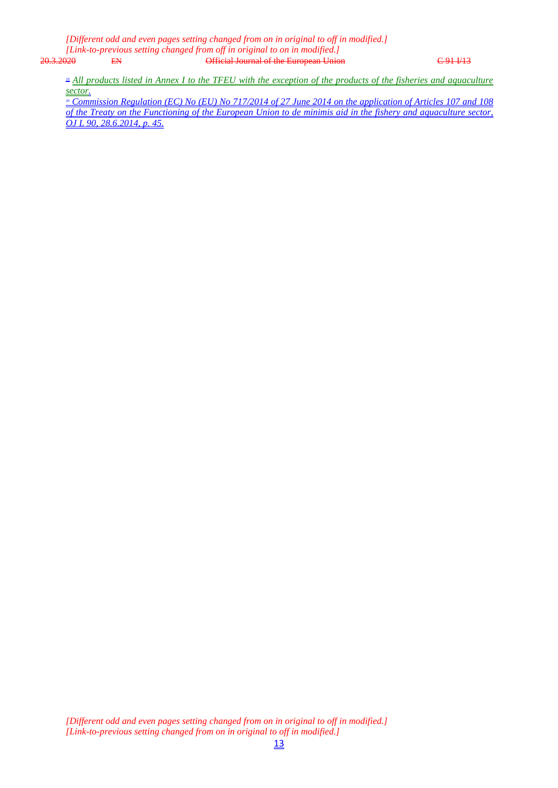*[Different odd and even pages setting changed from on in original to off in modified.] [Link-to-previous setting changed from off in original to on in modified.]* Official Journal of the European Union C 91 I/13

<sup>19</sup> *All products listed in Annex I to the TFEU with the exception of the products of the fisheries and aquaculture sector.*

<sup>20</sup> *Commission Regulation (EC) No (EU) No 717/2014 of 27 June 2014 on the application of Articles 107 and 108 of the Treaty on the Functioning of the European Union to de minimis aid in the fishery and aquaculture sector, OJ L 90, 28.6.2014, p. 45.*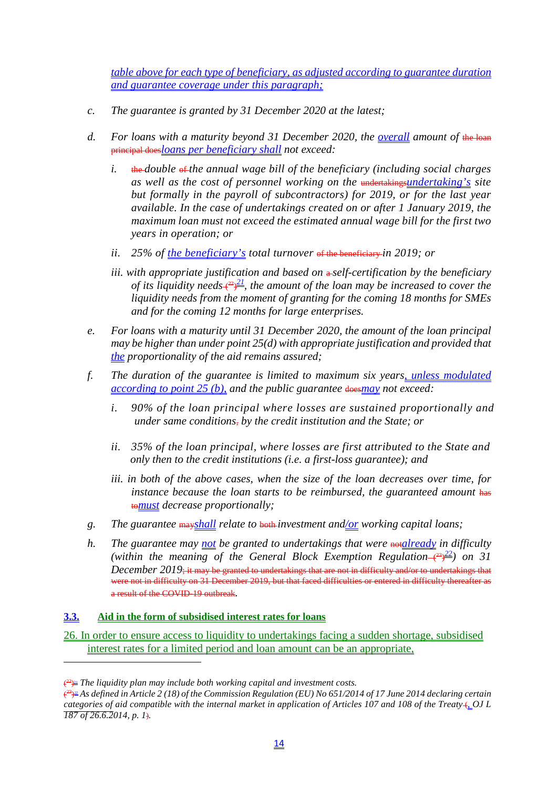*table above for each type of beneficiary, as adjusted according to guarantee duration and guarantee coverage under this paragraph;*

- *c. The guarantee is granted by 31 December 2020 at the latest;*
- d. For loans with a maturity beyond 31 December 2020, the <u>overall</u> amount of the loan principal does*loans per beneficiary shall not exceed:*
	- *i.* the *double* of *the annual wage bill of the beneficiary (including social charges as well as the cost of personnel working on the* undertakings*undertaking's site but formally in the payroll of subcontractors) for 2019, or for the last year available. In the case of undertakings created on or after 1 January 2019, the maximum loan must not exceed the estimated annual wage bill for the first two years in operation; or*
	- *ii. 25% of the beneficiary's total turnover* of the beneficiary *in 2019; or*
	- *iii. with appropriate justification and based on a-self-certification by the beneficiary of its liquidity needs* $\xi^{\frac{22}{2}}$ , the amount of the loan may be increased to cover the *liquidity needs from the moment of granting for the coming 18 months for SMEs and for the coming 12 months for large enterprises.*
- *e. For loans with a maturity until 31 December 2020, the amount of the loan principal may be higher than under point 25(d) with appropriate justification and provided that the proportionality of the aid remains assured;*
- *f. The duration of the guarantee is limited to maximum six years, unless modulated according to point 25 (b), and the public guarantee* does*may not exceed:*
	- *i. 90% of the loan principal where losses are sustained proportionally and under same conditions*, *by the credit institution and the State; or*
	- *ii. 35% of the loan principal, where losses are first attributed to the State and only then to the credit institutions (i.e. a first-loss guarantee); and*
	- *iii. in both of the above cases, when the size of the loan decreases over time, for*  instance because the loan starts to be reimbursed, the guaranteed amount has to*must decrease proportionally;*
- *g. The guarantee* may*shall relate to* both *investment and/or working capital loans;*
- *h.* The guarantee may not be granted to undertakings that were **not** already in difficulty (within the meaning of the General Block Exemption Regulation $\leftarrow^{\{23\}}$ ) on 31 *December 2019*; it may be granted to undertakings that are not in difficulty and/or to undertakings that were not in difficulty on 31 December 2019, but that faced difficulties or entered in difficulty thereafter as a result of the COVID-19 outbreak*.*

#### **3.3. Aid in the form of subsidised interest rates for loans**

26. In order to ensure access to liquidity to undertakings facing a sudden shortage, subsidised interest rates for a limited period and loan amount can be an appropriate,

<sup>(</sup> 22)21 *The liquidity plan may include both working capital and investment costs.*

<sup>(</sup> 23)*<sup>22</sup> As defined in Article 2 (18) of the Commission Regulation (EU) No 651/2014 of 17 June 2014 declaring certain categories of aid compatible with the internal market in application of Articles 107 and 108 of the Treaty* (*, OJ L 187 of 26.6.2014, p. 1*)*.*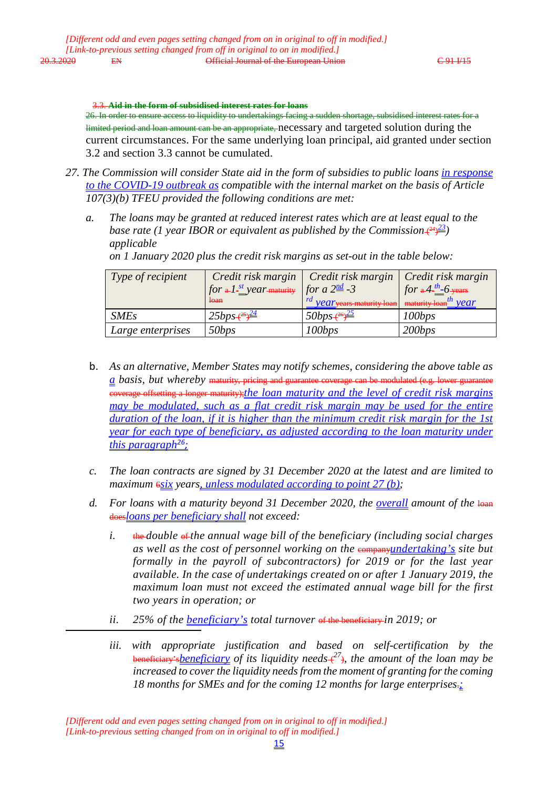3.3. **Aid in the form of subsidised interest rates for loans** 26. In order to ensure access to liquidity to undertakings facing a sudden shortage, subsidised interest rates for a limited period and loan amount can be an appropriate, necessary and targeted solution during the current circumstances. For the same underlying loan principal, aid granted under section 3.2 and section 3.3 cannot be cumulated.

- *27. The Commission will consider State aid in the form of subsidies to public loans in response to the COVID-19 outbreak as compatible with the internal market on the basis of Article 107(3)(b) TFEU provided the following conditions are met:*
	- *a. The loans may be granted at reduced interest rates which are at least equal to the* base rate (1 year IBOR or equivalent as published by the Commission  $(24)$ <sup>23</sup>) *applicable*

| Type of recipient | $\int$ for a $I$ - $\frac{st}{s}$ year maturity $\int$ for a $2^{\frac{nd}{s}}$ -3<br>loan | Credit risk margin   Credit risk margin   Credit risk margin<br>$\frac{1}{2}$ <i>Vear</i> years maturity loan maturity loan <sup>th</sup> <i>Vear</i> | for $a^4$ - $b^4$ - $b^4$ - $b^4$ |
|-------------------|--------------------------------------------------------------------------------------------|-------------------------------------------------------------------------------------------------------------------------------------------------------|-----------------------------------|
| <b>SMEs</b>       | $25bps + \frac{25}{2}$                                                                     | $50bps + \frac{26}{2}$                                                                                                                                | 100bps                            |
| Large enterprises | 50bps                                                                                      | 100bps                                                                                                                                                | 200bps                            |

*on 1 January 2020 plus the credit risk margins as set-out in the table below:*

- b. *As an alternative, Member States may notify schemes, considering the above table as a basis, but whereby* maturity, pricing and guarantee coverage can be modulated (e.g. lower guarantee coverage offsetting a longer maturity);*the loan maturity and the level of credit risk margins may be modulated, such as a flat credit risk margin may be used for the entire duration of the loan, if it is higher than the minimum credit risk margin for the 1st <u>year for each type of beneficiary, as adjusted according to the loan maturity under*</u> *this paragraph26;*
- *c. The loan contracts are signed by 31 December 2020 at the latest and are limited to maximum*  $\frac{6s}{x}$  *years, unless modulated according to point 27 (b);*
- d. For loans with a maturity beyond 31 December 2020, the <u>overall</u> amount of the loan does*loans per beneficiary shall not exceed:*
	- *i.* the *double* of *the annual wage bill of the beneficiary (including social charges as well as the cost of personnel working on the companyindertaking's site but formally in the payroll of subcontractors) for 2019 or for the last year available. In the case of undertakings created on or after 1 January 2019, the maximum loan must not exceed the estimated annual wage bill for the first two years in operation; or*
	- *ii. 25% of the beneficiary's total turnover* of the beneficiary *in 2019; or*

*iii. with appropriate justification and based on self-certification by the*  beneficiary's*beneficiary of its liquidity needs* ( *<sup>27</sup>*)*, the amount of the loan may be increased to cover the liquidity needs from the moment of granting for the coming 18 months for SMEs and for the coming 12 months for large enterprises*.*;*

*<sup>[</sup>Different odd and even pages setting changed from on in original to off in modified.] [Link-to-previous setting changed from on in original to off in modified.]*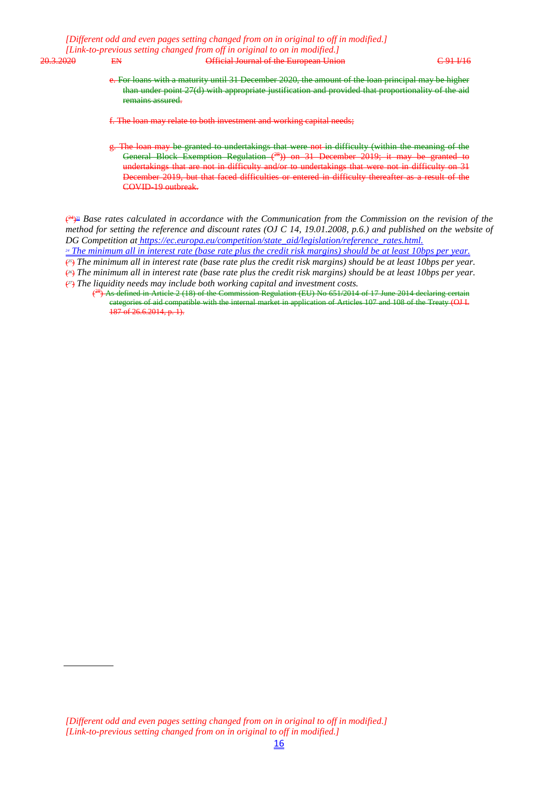e. For loans with a maturity until 31 December 2020, the amount of the loan principal may be higher than under point 27(d) with appropriate justification and provided that proportionality of the aid remains assured.

f. The loan may relate to both investment and working capital needs;

g. The loan may be granted to undertakings that were not in difficulty (within the meaning of the General Block Exemption Regulation (<sup>28</sup>)) on 31 December 2019; it may be granted to undertakings that are not in difficulty and/or to undertakings that were not in difficulty on 31 December 2019, but that faced difficulties or entered in difficulty thereafter as a result of the COVID-19 outbreak.

( 24)23 *Base rates calculated in accordance with the Communication from the Commission on the revision of the method for setting the reference and discount rates (OJ C 14, 19.01.2008, p.6.) and published on the website of DG Competition at https://ec.europa.eu/competition/state\_aid/legislation/reference\_rates.html.*

*<sup>24</sup> The minimum all in interest rate (base rate plus the credit risk margins) should be at least 10bps per year.*

(*25*) *The minimum all in interest rate (base rate plus the credit risk margins) should be at least 10bps per year.* (*26*) *The minimum all in interest rate (base rate plus the credit risk margins) should be at least 10bps per year.*

(*27*) *The liquidity needs may include both working capital and investment costs.*

<sup>(&</sup>lt;sup>28</sup>) As defined in Article 2 (18) of the Commission Regulation (EU) No 651/2014 of 17 June 2014 declaring certain categories of aid compatible with the internal market in application of Articles 107 and 108 of the Treaty (OJ L 187 of 26.6.2014, p. 1).

*<sup>[</sup>Different odd and even pages setting changed from on in original to off in modified.] [Link-to-previous setting changed from on in original to off in modified.]*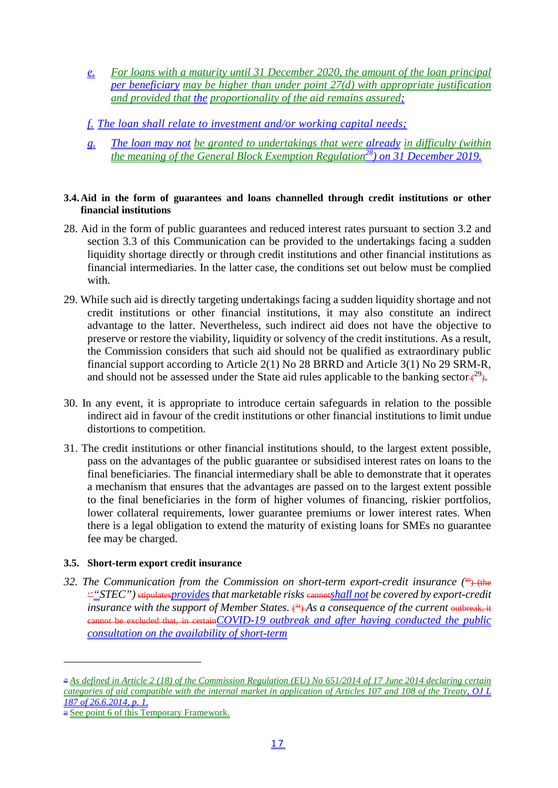- *e. For loans with a maturity until 31 December 2020, the amount of the loan principal per beneficiary may be higher than under point 27(d) with appropriate justification and provided that the proportionality of the aid remains assured;*
- *f. The loan shall relate to investment and/or working capital needs;*
- *g. The loan may not be granted to undertakings that were already in difficulty (within the meaning of the General Block Exemption Regulation28) on 31 December 2019.*

#### **3.4.Aid in the form of guarantees and loans channelled through credit institutions or other financial institutions**

- 28. Aid in the form of public guarantees and reduced interest rates pursuant to section 3.2 and section 3.3 of this Communication can be provided to the undertakings facing a sudden liquidity shortage directly or through credit institutions and other financial institutions as financial intermediaries. In the latter case, the conditions set out below must be complied with.
- 29. While such aid is directly targeting undertakings facing a sudden liquidity shortage and not credit institutions or other financial institutions, it may also constitute an indirect advantage to the latter. Nevertheless, such indirect aid does not have the objective to preserve or restore the viability, liquidity or solvency of the credit institutions. As a result, the Commission considers that such aid should not be qualified as extraordinary public financial support according to Article 2(1) No 28 BRRD and Article 3(1) No 29 SRM-R, and should not be assessed under the State aid rules applicable to the banking sector $\leftarrow^{29}$ .
- 30. In any event, it is appropriate to introduce certain safeguards in relation to the possible indirect aid in favour of the credit institutions or other financial institutions to limit undue distortions to competition.
- 31. The credit institutions or other financial institutions should, to the largest extent possible, pass on the advantages of the public guarantee or subsidised interest rates on loans to the final beneficiaries. The financial intermediary shall be able to demonstrate that it operates a mechanism that ensures that the advantages are passed on to the largest extent possible to the final beneficiaries in the form of higher volumes of financing, riskier portfolios, lower collateral requirements, lower guarantee premiums or lower interest rates. When there is a legal obligation to extend the maturity of existing loans for SMEs no guarantee fee may be charged.

# **3.5. Short-term export credit insurance**

32. The Communication from the Commission on short-term export-credit insurance (<sup>30</sup>) (the  $\frac{1}{2}$ "*STEC"*) stipulates*provides* that marketable risks cannot *shall not* be covered by export-credit insurance with the support of Member States.  $\xi^4$  As a consequence of the current <del>outbreak, it</del> cannot be excluded that, in certain*COVID-19 outbreak and after having conducted the public consultation on the availability of short-term*

*<sup>28</sup> As defined in Article 2 (18) of the Commission Regulation (EU) No 651/2014 of 17 June 2014 declaring certain categories of aid compatible with the internal market in application of Articles 107 and 108 of the Treaty, OJ L 187 of 26.6.2014, p. 1.*

 $\approx$  See point 6 of this Temporary Framework.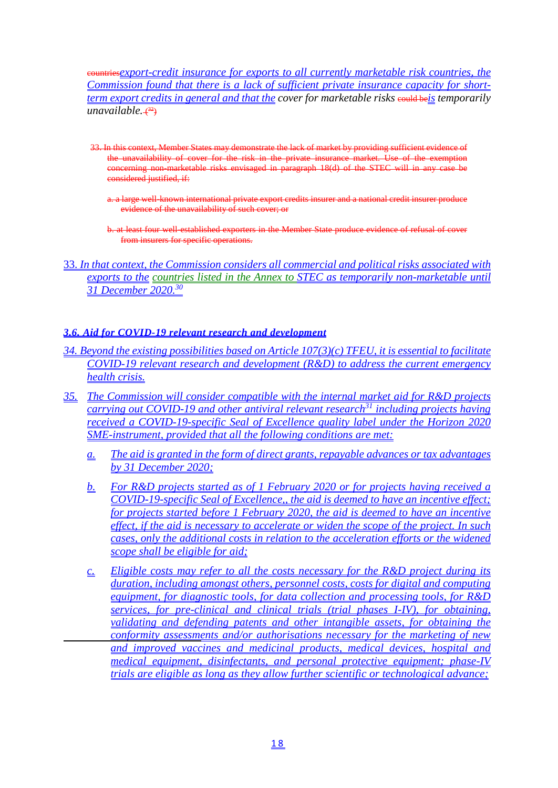countries*export-credit insurance for exports to all currently marketable risk countries, the Commission found that there is a lack of sufficient private insurance capacity for shortterm export credits in general and that the cover for marketable risks* could be*is temporarily*  unavailable. <del>(<sup>32</sup>)</del>

- 33. In this context, Member States may demonstrate the lack of market by providing sufficient evidence of the unavailability of cover for the risk in the private insurance market. Use of the exemption concerning non-marketable risks envisaged in paragraph 18(d) of the STEC will in any case be considered justified, if:
	- a. a large well-known international private export credits insurer and a national credit insurer produce evidence of the unavailability of such cover; or
	- b. at least four well-established exporters in the Member State produce evidence of refusal of cover from insurers for specific operations.
- 33. *In that context, the Commission considers all commercial and political risks associated with exports to the countries listed in the Annex to STEC as temporarily non-marketable until 31 December 2020.30*

# *3.6. Aid for COVID-19 relevant research and development*

- *34. Beyond the existing possibilities based on Article 107(3)(c) TFEU, it is essential to facilitate COVID-19 relevant research and development (R&D) to address the current emergency health crisis.*
- *35. The Commission will consider compatible with the internal market aid for R&D projects carrying out COVID-19 and other antiviral relevant research31 including projects having received a COVID-19-specific Seal of Excellence quality label under the Horizon 2020 SME-instrument, provided that all the following conditions are met:*
	- *a. The aid is granted in the form of direct grants, repayable advances or tax advantages by 31 December 2020;*
	- *b. For R&D projects started as of 1 February 2020 or for projects having received a COVID-19-specific Seal of Excellence,, the aid is deemed to have an incentive effect; for projects started before 1 February 2020, the aid is deemed to have an incentive effect, if the aid is necessary to accelerate or widen the scope of the project. In such cases, only the additional costs in relation to the acceleration efforts or the widened scope shall be eligible for aid;*
	- *c. Eligible costs may refer to all the costs necessary for the R&D project during its duration, including amongst others, personnel costs, costs for digital and computing equipment, for diagnostic tools, for data collection and processing tools, for R&D services, for pre-clinical and clinical trials (trial phases I-IV), for obtaining, validating and defending patents and other intangible assets, for obtaining the conformity assessments and/or authorisations necessary for the marketing of new and improved vaccines and medicinal products, medical devices, hospital and medical equipment, disinfectants, and personal protective equipment; phase-IV trials are eligible as long as they allow further scientific or technological advance;*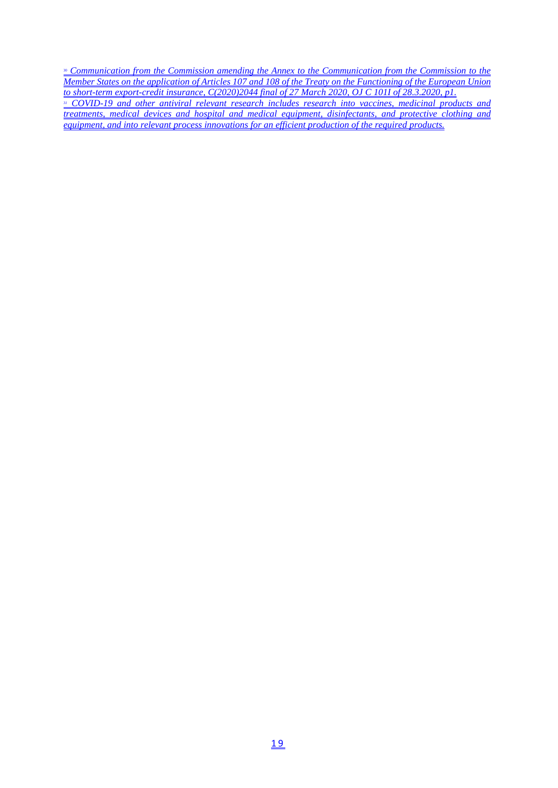<sup>30</sup> *Communication from the Commission amending the Annex to the Communication from the Commission to the Member States on the application of Articles 107 and 108 of the Treaty on the Functioning of the European Union to short-term export-credit insurance, C(2020)2044 final of 27 March 2020, OJ C 101I of 28.3.2020, p1. <sup>31</sup> COVID-19 and other antiviral relevant research includes research into vaccines, medicinal products and treatments, medical devices and hospital and medical equipment, disinfectants, and protective clothing and equipment, and into relevant process innovations for an efficient production of the required products.*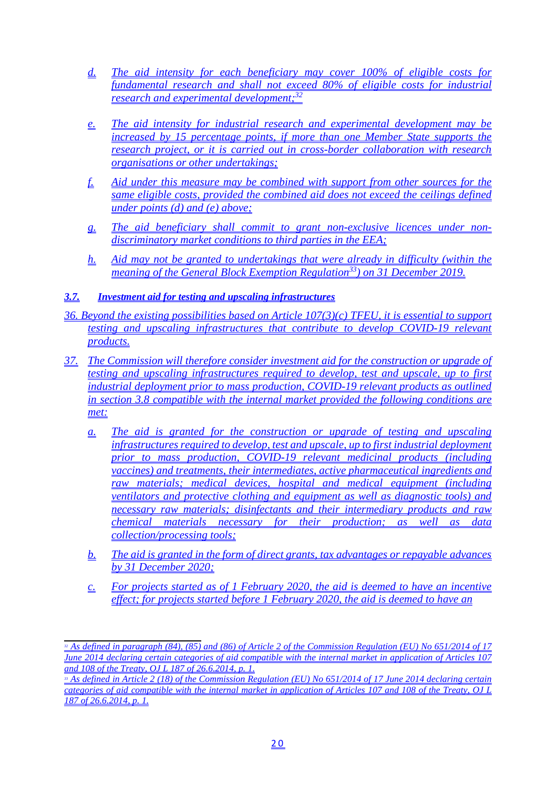- *d. The aid intensity for each beneficiary may cover 100% of eligible costs for fundamental research and shall not exceed 80% of eligible costs for industrial research and experimental development;32*
- *e. The aid intensity for industrial research and experimental development may be increased by 15 percentage points, if more than one Member State supports the research project, or it is carried out in cross-border collaboration with research organisations or other undertakings;*
- *f. Aid under this measure may be combined with support from other sources for the same eligible costs, provided the combined aid does not exceed the ceilings defined under points (d) and (e) above;*
- *g. The aid beneficiary shall commit to grant non-exclusive licences under nondiscriminatory market conditions to third parties in the EEA;*
- *h. Aid may not be granted to undertakings that were already in difficulty (within the meaning of the General Block Exemption Regulation33) on 31 December 2019.*

# *3.7. Investment aid for testing and upscaling infrastructures*

- *36. Beyond the existing possibilities based on Article 107(3)(c) TFEU, it is essential to support testing and upscaling infrastructures that contribute to develop COVID-19 relevant products.*
- *37. The Commission will therefore consider investment aid for the construction or upgrade of testing and upscaling infrastructures required to develop, test and upscale, up to first industrial deployment prior to mass production, COVID-19 relevant products as outlined in section 3.8 compatible with the internal market provided the following conditions are met:*
	- *a. The aid is granted for the construction or upgrade of testing and upscaling infrastructures required to develop, test and upscale, up to first industrial deployment prior to mass production, COVID-19 relevant medicinal products (including vaccines) and treatments, their intermediates, active pharmaceutical ingredients and raw materials; medical devices, hospital and medical equipment (including ventilators and protective clothing and equipment as well as diagnostic tools) and necessary raw materials; disinfectants and their intermediary products and raw chemical materials necessary for their production; as well as data collection/processing tools;*
	- *b. The aid is granted in the form of direct grants, tax advantages or repayable advances by 31 December 2020;*
	- *c. For projects started as of 1 February 2020, the aid is deemed to have an incentive effect; for projects started before 1 February 2020, the aid is deemed to have an*

*<sup>32</sup> As defined in paragraph (84), (85) and (86) of Article 2 of the Commission Regulation (EU) No 651/2014 of 17 June 2014 declaring certain categories of aid compatible with the internal market in application of Articles 107 and 108 of the Treaty, OJ L 187 of 26.6.2014, p. 1.*

*<sup>33</sup> As defined in Article 2 (18) of the Commission Regulation (EU) No 651/2014 of 17 June 2014 declaring certain categories of aid compatible with the internal market in application of Articles 107 and 108 of the Treaty, OJ L 187 of 26.6.2014, p. 1.*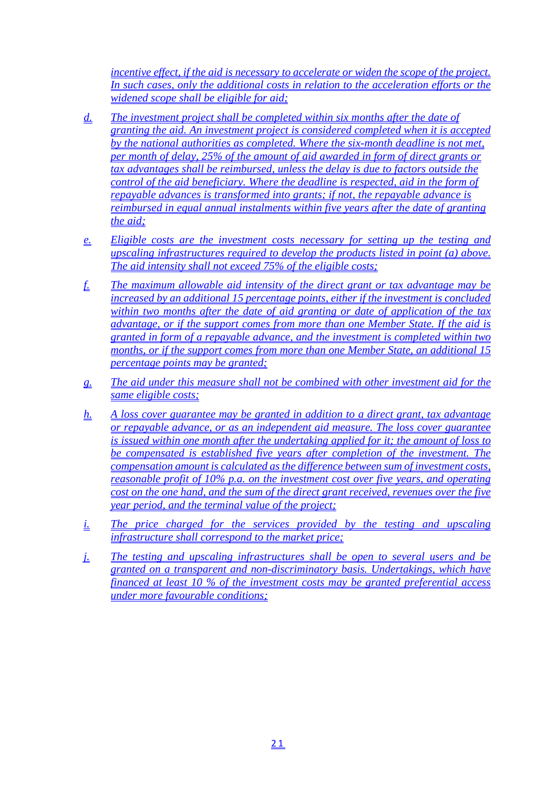*incentive effect, if the aid is necessary to accelerate or widen the scope of the project. In such cases, only the additional costs in relation to the acceleration efforts or the widened scope shall be eligible for aid;*

- *d. The investment project shall be completed within six months after the date of granting the aid. An investment project is considered completed when it is accepted by the national authorities as completed. Where the six-month deadline is not met, per month of delay, 25% of the amount of aid awarded in form of direct grants or tax advantages shall be reimbursed, unless the delay is due to factors outside the control of the aid beneficiary. Where the deadline is respected, aid in the form of repayable advances is transformed into grants; if not, the repayable advance is reimbursed in equal annual instalments within five years after the date of granting the aid;*
- *e. Eligible costs are the investment costs necessary for setting up the testing and upscaling infrastructures required to develop the products listed in point (a) above. The aid intensity shall not exceed 75% of the eligible costs;*
- *f. The maximum allowable aid intensity of the direct grant or tax advantage may be increased by an additional 15 percentage points, either if the investment is concluded within two months after the date of aid granting or date of application of the tax advantage, or if the support comes from more than one Member State. If the aid is granted in form of a repayable advance, and the investment is completed within two months, or if the support comes from more than one Member State, an additional 15 percentage points may be granted;*
- *g. The aid under this measure shall not be combined with other investment aid for the same eligible costs;*
- *h. A loss cover guarantee may be granted in addition to a direct grant, tax advantage or repayable advance, or as an independent aid measure. The loss cover guarantee is issued within one month after the undertaking applied for it; the amount of loss to be compensated is established five years after completion of the investment. The compensation amount is calculated as the difference between sum of investment costs, reasonable profit of 10% p.a. on the investment cost over five years, and operating cost on the one hand, and the sum of the direct grant received, revenues over the five year period, and the terminal value of the project;*
- *i.* The price charged for the services provided by the testing and upscaling *infrastructure shall correspond to the market price;*
- *j. The testing and upscaling infrastructures shall be open to several users and be granted on a transparent and non-discriminatory basis. Undertakings, which have financed at least 10 % of the investment costs may be granted preferential access under more favourable conditions;*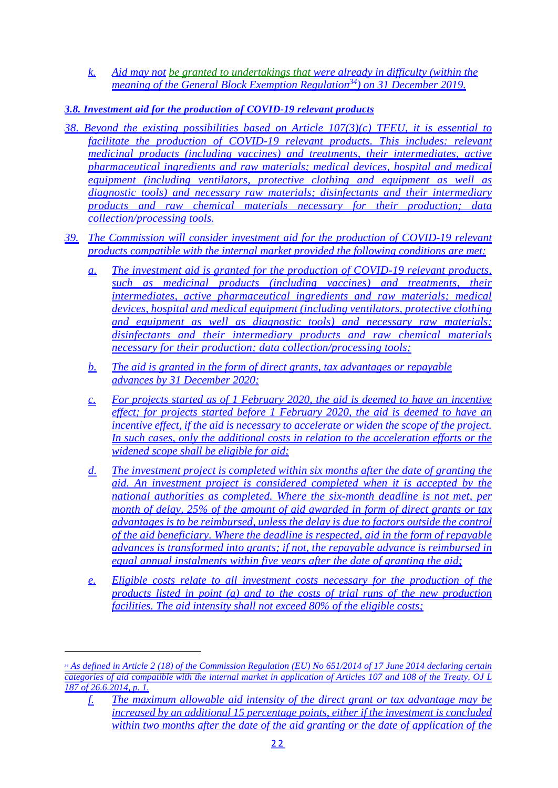*k. Aid may not be granted to undertakings that were already in difficulty (within the meaning of the General Block Exemption Regulation34) on 31 December 2019.*

# *3.8. Investment aid for the production of COVID-19 relevant products*

- *38. Beyond the existing possibilities based on Article 107(3)(c) TFEU, it is essential to facilitate the production of COVID-19 relevant products. This includes: relevant medicinal products (including vaccines) and treatments, their intermediates, active pharmaceutical ingredients and raw materials; medical devices, hospital and medical equipment (including ventilators, protective clothing and equipment as well as diagnostic tools) and necessary raw materials; disinfectants and their intermediary products and raw chemical materials necessary for their production; data collection/processing tools.*
- *39. The Commission will consider investment aid for the production of COVID-19 relevant products compatible with the internal market provided the following conditions are met:*
	- *a. The investment aid is granted for the production of COVID-19 relevant products, such as medicinal products (including vaccines) and treatments, their intermediates, active pharmaceutical ingredients and raw materials; medical devices, hospital and medical equipment (including ventilators, protective clothing and equipment as well as diagnostic tools) and necessary raw materials; disinfectants and their intermediary products and raw chemical materials necessary for their production; data collection/processing tools;*
	- *b. The aid is granted in the form of direct grants, tax advantages or repayable advances by 31 December 2020;*
	- *c. For projects started as of 1 February 2020, the aid is deemed to have an incentive effect; for projects started before 1 February 2020, the aid is deemed to have an incentive effect, if the aid is necessary to accelerate or widen the scope of the project. In such cases, only the additional costs in relation to the acceleration efforts or the widened scope shall be eligible for aid;*
	- *d. The investment project is completed within six months after the date of granting the aid. An investment project is considered completed when it is accepted by the national authorities as completed. Where the six-month deadline is not met, per month of delay, 25% of the amount of aid awarded in form of direct grants or tax advantages is to be reimbursed, unless the delay is due to factors outside the control of the aid beneficiary. Where the deadline is respected, aid in the form of repayable advances is transformed into grants; if not, the repayable advance is reimbursed in equal annual instalments within five years after the date of granting the aid;*
	- *e. Eligible costs relate to all investment costs necessary for the production of the products listed in point (a) and to the costs of trial runs of the new production facilities. The aid intensity shall not exceed 80% of the eligible costs;*

*<sup>34</sup> As defined in Article 2 (18) of the Commission Regulation (EU) No 651/2014 of 17 June 2014 declaring certain categories of aid compatible with the internal market in application of Articles 107 and 108 of the Treaty, OJ L 187 of 26.6.2014, p. 1.*

*f. The maximum allowable aid intensity of the direct grant or tax advantage may be increased by an additional 15 percentage points, either if the investment is concluded within two months after the date of the aid granting or the date of application of the*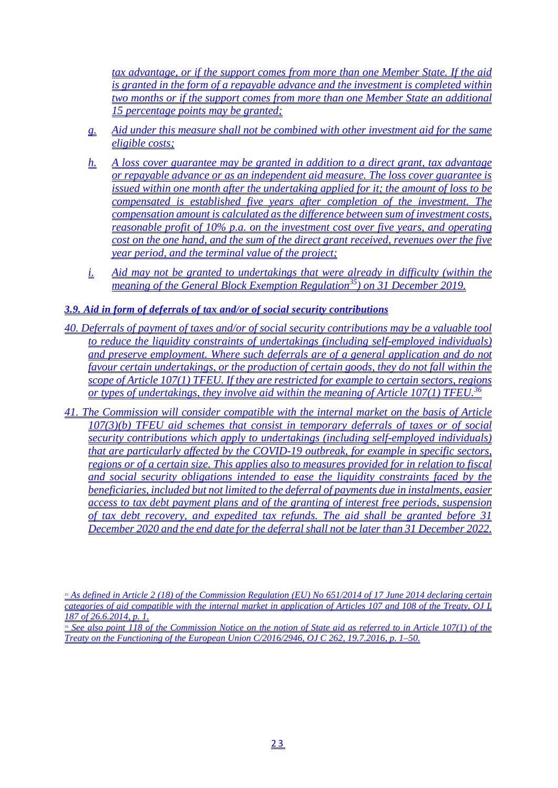*tax advantage, or if the support comes from more than one Member State. If the aid is granted in the form of a repayable advance and the investment is completed within two months or if the support comes from more than one Member State an additional 15 percentage points may be granted;*

- *g. Aid under this measure shall not be combined with other investment aid for the same eligible costs;*
- *h. A loss cover guarantee may be granted in addition to a direct grant, tax advantage or repayable advance or as an independent aid measure. The loss cover guarantee is issued within one month after the undertaking applied for it; the amount of loss to be compensated is established five years after completion of the investment. The compensation amount is calculated as the difference between sum of investment costs, reasonable profit of 10% p.a. on the investment cost over five years, and operating cost on the one hand, and the sum of the direct grant received, revenues over the five year period, and the terminal value of the project;*
- *i. Aid may not be granted to undertakings that were already in difficulty (within the meaning of the General Block Exemption Regulation*<sup>35</sup>) on 31 December 2019.
- *3.9. Aid in form of deferrals of tax and/or of social security contributions*
- *40. Deferrals of payment of taxes and/or of social security contributions may be a valuable tool to reduce the liquidity constraints of undertakings (including self-employed individuals) and preserve employment. Where such deferrals are of a general application and do not favour certain undertakings, or the production of certain goods, they do not fall within the scope of Article 107(1) TFEU. If they are restricted for example to certain sectors, regions or types of undertakings, they involve aid within the meaning of Article 107(1) TFEU.36*
- *41. The Commission will consider compatible with the internal market on the basis of Article 107(3)(b) TFEU aid schemes that consist in temporary deferrals of taxes or of social security contributions which apply to undertakings (including self-employed individuals) that are particularly affected by the COVID-19 outbreak, for example in specific sectors, regions or of a certain size. This applies also to measures provided for in relation to fiscal and social security obligations intended to ease the liquidity constraints faced by the beneficiaries, included but not limited to the deferral of payments due in instalments, easier access to tax debt payment plans and of the granting of interest free periods, suspension of tax debt recovery, and expedited tax refunds. The aid shall be granted before 31 December 2020 and the end date for the deferral shall not be later than 31 December 2022.*

*<sup>35</sup> As defined in Article 2 (18) of the Commission Regulation (EU) No 651/2014 of 17 June 2014 declaring certain categories of aid compatible with the internal market in application of Articles 107 and 108 of the Treaty, OJ L 187 of 26.6.2014, p. 1.*

*<sup>36</sup> See also point 118 of the Commission Notice on the notion of State aid as referred to in Article 107(1) of the Treaty on the Functioning of the European Union C/2016/2946, OJ C 262, 19.7.2016, p. 1–50.*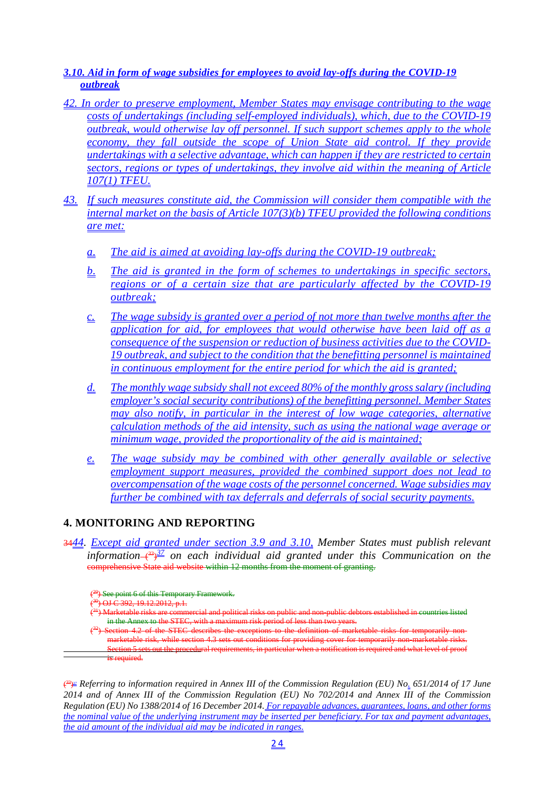# *3.10. Aid in form of wage subsidies for employees to avoid lay-offs during the COVID-19 outbreak*

- *42. In order to preserve employment, Member States may envisage contributing to the wage costs of undertakings (including self-employed individuals), which, due to the COVID-19 outbreak, would otherwise lay off personnel. If such support schemes apply to the whole*  economy, they fall outside the scope of Union State aid control. If they provide *undertakings with a selective advantage, which can happen if they are restricted to certain sectors, regions or types of undertakings, they involve aid within the meaning of Article 107(1) TFEU.*
- *43. If such measures constitute aid, the Commission will consider them compatible with the internal market on the basis of Article 107(3)(b) TFEU provided the following conditions are met:*
	- *a. The aid is aimed at avoiding lay-offs during the COVID-19 outbreak;*
	- *b. The aid is granted in the form of schemes to undertakings in specific sectors, regions or of a certain size that are particularly affected by the COVID-19 outbreak;*
	- *c. The wage subsidy is granted over a period of not more than twelve months after the application for aid, for employees that would otherwise have been laid off as a consequence of the suspension or reduction of business activities due to the COVID-19 outbreak, and subject to the condition that the benefitting personnel is maintained in continuous employment for the entire period for which the aid is granted;*
	- *d. The monthly wage subsidy shall not exceed 80% of the monthly gross salary (including employer's social security contributions) of the benefitting personnel. Member States may also notify, in particular in the interest of low wage categories, alternative calculation methods of the aid intensity, such as using the national wage average or minimum wage, provided the proportionality of the aid is maintained;*
	- *e. The wage subsidy may be combined with other generally available or selective employment support measures, provided the combined support does not lead to overcompensation of the wage costs of the personnel concerned. Wage subsidies may further be combined with tax deferrals and deferrals of social security payments.*

# **4. MONITORING AND REPORTING**

34*44. Except aid granted under section 3.9 and 3.10, Member States must publish relevant*  information—( $33\frac{37}{2}$  on each individual aid granted under this Communication on the comprehensive State aid website within 12 months from the moment of granting.

( 33) *<sup>37</sup> Referring to information required in Annex III of the Commission Regulation (EU) No. 651/2014 of 17 June 2014 and of Annex III of the Commission Regulation (EU) No 702/2014 and Annex III of the Commission Regulation (EU) No 1388/2014 of 16 December 2014. For repayable advances, guarantees, loans, and other forms the nominal value of the underlying instrument may be inserted per beneficiary. For tax and payment advantages, the aid amount of the individual aid may be indicated in ranges.*

<sup>&</sup>lt;sup>(29</sup>) See point 6 of this Temporary Framework.

 $\epsilon$  $\overrightarrow{9}$  OJ C 392, 19.12.2012, p.1.

 $\epsilon$ 31) Marketable risks are commercial and political risks on public and non-public debtors established in countries listed in the Annex to the STEC, with a maximum risk period of less than two years.

 $\epsilon$ Section 4.2 of the STEC describes the exceptions to the definition of marketable risks for temporarily marketable risk, while section 4.3 sets out conditions for providing cover for temporarily non-marketable risks. Section 5 sets out the procedural requirements, in particular when a notification is required and what level of proof is required.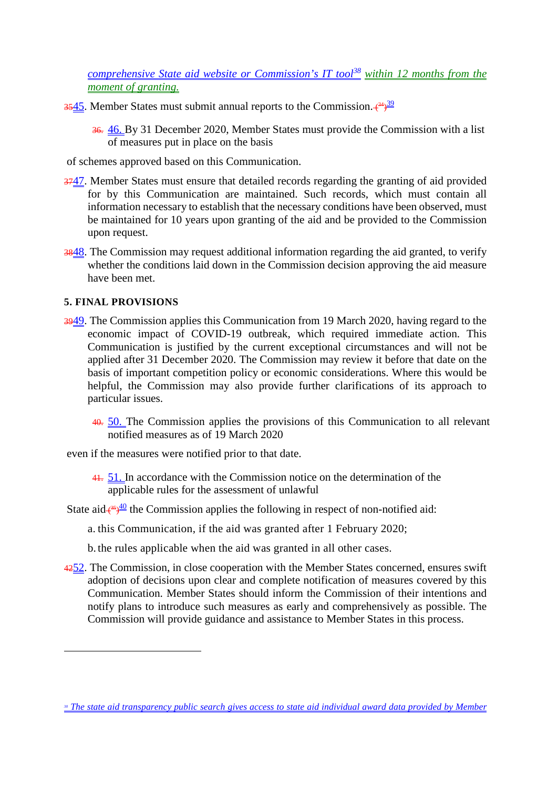*comprehensive State aid website or Commission's IT tool<sup>38</sup> within 12 months from the moment of granting.*

- 3545. Member States must submit annual reports to the Commission.  $(34)$ 
	- 36. 46. By 31 December 2020, Member States must provide the Commission with a list of measures put in place on the basis

of schemes approved based on this Communication.

- 3747. Member States must ensure that detailed records regarding the granting of aid provided for by this Communication are maintained. Such records, which must contain all information necessary to establish that the necessary conditions have been observed, must be maintained for 10 years upon granting of the aid and be provided to the Commission upon request.
- 3848. The Commission may request additional information regarding the aid granted, to verify whether the conditions laid down in the Commission decision approving the aid measure have been met.

# **5. FINAL PROVISIONS**

- 3949. The Commission applies this Communication from 19 March 2020, having regard to the economic impact of COVID-19 outbreak, which required immediate action. This Communication is justified by the current exceptional circumstances and will not be applied after 31 December 2020. The Commission may review it before that date on the basis of important competition policy or economic considerations. Where this would be helpful, the Commission may also provide further clarifications of its approach to particular issues.
	- 40. 50. The Commission applies the provisions of this Communication to all relevant notified measures as of 19 March 2020

even if the measures were notified prior to that date.

41. 51. In accordance with the Commission notice on the determination of the applicable rules for the assessment of unlawful

State aid  $\frac{45}{40}$  the Commission applies the following in respect of non-notified aid:

a. this Communication, if the aid was granted after 1 February 2020;

- b. the rules applicable when the aid was granted in all other cases.
- 4252. The Commission, in close cooperation with the Member States concerned, ensures swift adoption of decisions upon clear and complete notification of measures covered by this Communication. Member States should inform the Commission of their intentions and notify plans to introduce such measures as early and comprehensively as possible. The Commission will provide guidance and assistance to Member States in this process.

*<sup>38</sup> The state aid transparency public search gives access to state aid individual award data provided by Member*